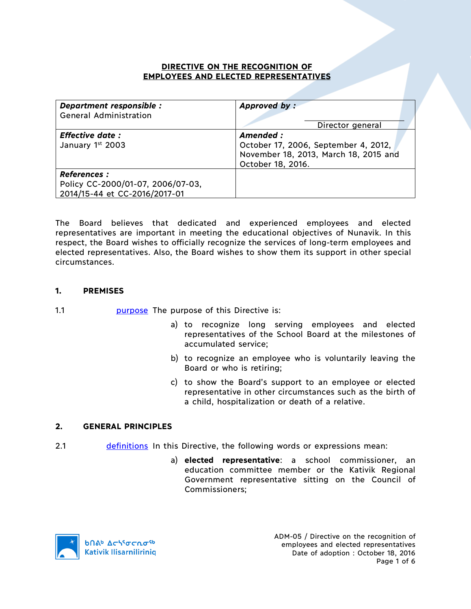## **DIRECTIVE ON THE RECOGNITION OF EMPLOYEES AND ELECTED REPRESENTATIVES**

| Department responsible :<br><b>General Administration</b>                                 | Approved by:                                                                                                    |
|-------------------------------------------------------------------------------------------|-----------------------------------------------------------------------------------------------------------------|
|                                                                                           | Director general                                                                                                |
| <b>Effective date:</b><br>January 1st 2003                                                | Amended :<br>October 17, 2006, September 4, 2012,<br>November 18, 2013, March 18, 2015 and<br>October 18, 2016. |
| <b>References :</b><br>Policy CC-2000/01-07, 2006/07-03,<br>2014/15-44 et CC-2016/2017-01 |                                                                                                                 |

The Board believes that dedicated and experienced employees and elected representatives are important in meeting the educational objectives of Nunavik. In this respect, the Board wishes to officially recognize the services of long-term employees and elected representatives. Also, the Board wishes to show them its support in other special circumstances.

## **1. PREMISES**

- 1.1 **purpose** The purpose of this Directive is:
	- a) to recognize long serving employees and elected representatives of the School Board at the milestones of accumulated service;
	- b) to recognize an employee who is voluntarily leaving the Board or who is retiring;
	- c) to show the Board's support to an employee or elected representative in other circumstances such as the birth of a child, hospitalization or death of a relative.

### **2. GENERAL PRINCIPLES**

- 2.1 definitions In this Directive, the following words or expressions mean:
	- a) **elected representative**: a school commissioner, an education committee member or the Kativik Regional Government representative sitting on the Council of Commissioners;



ADM-05 / Directive on the recognition of employees and elected representatives Date of adoption : October 18, 2016 Page 1 of 6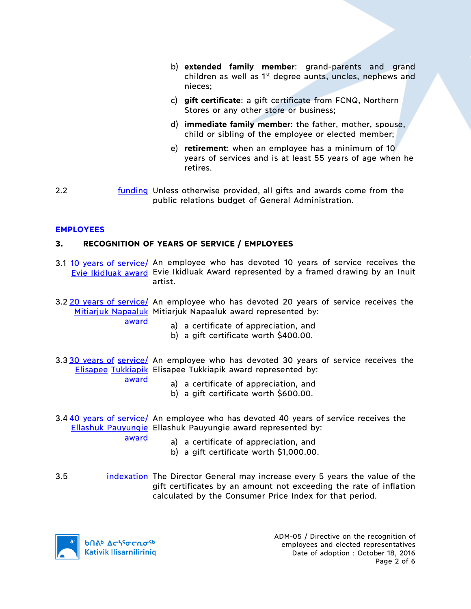- b) **extended family member**: grand-parents and grand children as well as 1<sup>st</sup> degree aunts, uncles, nephews and nieces;
- c) **gift certificate**: a gift certificate from FCNQ, Northern Stores or any other store or business;
- d) **immediate family member**: the father, mother, spouse, child or sibling of the employee or elected member;
- e) **retirement**: when an employee has a minimum of 10 years of services and is at least 55 years of age when he retires.
- 2.2 **funding Unless otherwise provided, all gifts and awards come from the** public relations budget of General Administration.

### **EMPLOYEES**

#### **3. RECOGNITION OF YEARS OF SERVICE / EMPLOYEES**

- 3.1 10 years of service/ An employee who has devoted 10 years of service receives the Evie Ikidluak award Evie Ikidluak Award represented by a framed drawing by an Inuit artist.
- 3.2 20 years of service/ An employee who has devoted 20 years of service receives the Mitiarjuk Napaaluk Mitiarjuk Napaaluk award represented by:
	- a) a certificate of appreciation, and
		- b) a gift certificate worth \$400.00.
- 3.3 30 years of service/ An employee who has devoted 30 years of service receives the Elisapee Tukkiapik Elisapee Tukkiapik award represented by:
	- award

award

- a) a certificate of appreciation, and
- b) a gift certificate worth \$600.00.
- 3.4 40 years of service/ An employee who has devoted 40 years of service receives the Ellashuk Pauyungie Ellashuk Pauyungie award represented by:

award

- a) a certificate of appreciation, and
- b) a gift certificate worth \$1,000.00.
- 3.5 indexation The Director General may increase every 5 years the value of the gift certificates by an amount not exceeding the rate of inflation calculated by the Consumer Price Index for that period.



ADM-05 / Directive on the recognition of employees and elected representatives Date of adoption : October 18, 2016 Page 2 of 6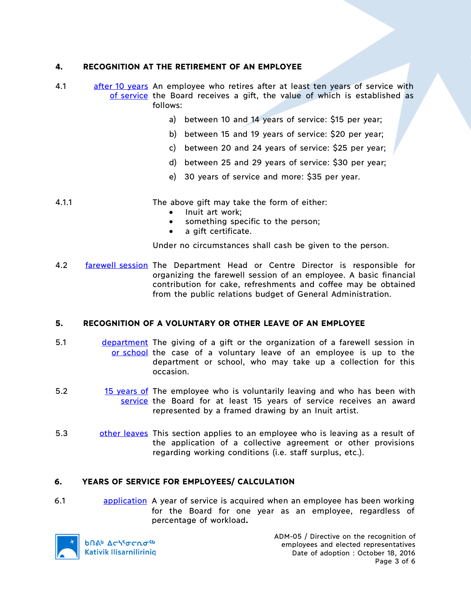# **4. RECOGNITION AT THE RETIREMENT OF AN EMPLOYEE**

- 4.1 after 10 years An employee who retires after at least ten years of service with of service the Board receives a gift, the value of which is established as follows:
	- a) between 10 and 14 years of service: \$15 per year;
	- b) between 15 and 19 years of service: \$20 per year;
	- c) between 20 and 24 years of service: \$25 per year;
	- d) between 25 and 29 years of service: \$30 per year;
	- e) 30 years of service and more: \$35 per year.
- 4.1.1 The above gift may take the form of either:
	- Inuit art work;
	- something specific to the person;
	- a gift certificate.

Under no circumstances shall cash be given to the person.

4.2 **farewell session** The Department Head or Centre Director is responsible for organizing the farewell session of an employee. A basic financial contribution for cake, refreshments and coffee may be obtained from the public relations budget of General Administration.

### **5. RECOGNITION OF A VOLUNTARY OR OTHER LEAVE OF AN EMPLOYEE**

- 5.1 department The giving of a gift or the organization of a farewell session in or school the case of a voluntary leave of an employee is up to the department or school, who may take up a collection for this occasion.
- 5.2 15 years of The employee who is voluntarily leaving and who has been with service the Board for at least 15 years of service receives an award represented by a framed drawing by an Inuit artist.
- 5.3 other leaves This section applies to an employee who is leaving as a result of the application of a collective agreement or other provisions regarding working conditions (i.e. staff surplus, etc.).

### **6. YEARS OF SERVICE FOR EMPLOYEES/ CALCULATION**

6.1 **build application** A year of service is acquired when an employee has been working for the Board for one year as an employee, regardless of percentage of workload**.**



**b**በል<sup>b</sup> Δς<sup>56</sup>σς λο<sup>56</sup> **Kativik Ilisarniliriniq**  ADM-05 / Directive on the recognition of employees and elected representatives Date of adoption : October 18, 2016 Page 3 of 6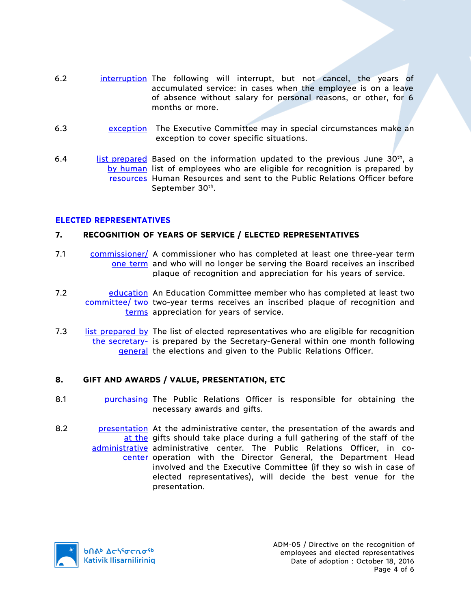- 6.2 interruption The following will interrupt, but not cancel, the years of accumulated service: in cases when the employee is on a leave of absence without salary for personal reasons, or other, for 6 months or more.
- 6.3 exception The Executive Committee may in special circumstances make an exception to cover specific situations.
- 6.4 **list prepared** Based on the information updated to the previous June  $30<sup>th</sup>$ , a by human list of employees who are eligible for recognition is prepared by resources Human Resources and sent to the Public Relations Officer before September 30th.

### **ELECTED REPRESENTATIVES**

### **7. RECOGNITION OF YEARS OF SERVICE / ELECTED REPRESENTATIVES**

- 7.1 commissioner/ A commissioner who has completed at least one three-year term one term and who will no longer be serving the Board receives an inscribed plaque of recognition and appreciation for his years of service.
- 7.2 **Example 20 Education Committee member who has completed at least two** committee/ two two-year terms receives an inscribed plaque of recognition and terms appreciation for years of service.
- 7.3 List prepared by The list of elected representatives who are eligible for recognition the secretary- is prepared by the Secretary-General within one month following general the elections and given to the Public Relations Officer.

### **8. GIFT AND AWARDS / VALUE, PRESENTATION, ETC**

- 8.1 purchasing The Public Relations Officer is responsible for obtaining the necessary awards and gifts.
- 8.2 **presentation** At the administrative center, the presentation of the awards and at the gifts should take place during a full gathering of the staff of the administrative administrative center. The Public Relations Officer, in cocenter operation with the Director General, the Department Head involved and the Executive Committee (if they so wish in case of elected representatives), will decide the best venue for the presentation.

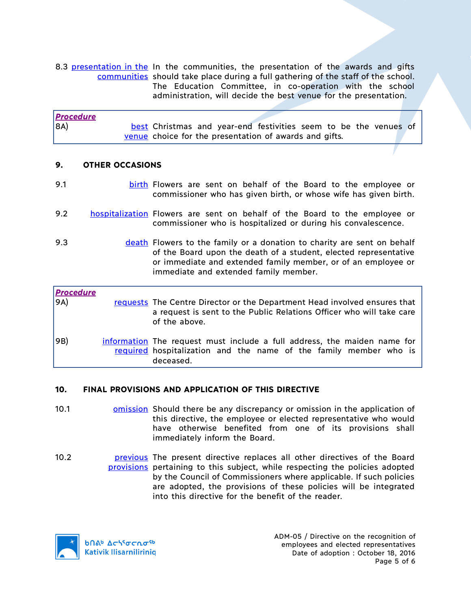8.3 presentation in the In the communities, the presentation of the awards and gifts communities should take place during a full gathering of the staff of the school. The Education Committee, in co-operation with the school administration, will decide the best venue for the presentation.

| <b>Procedure</b> |                                                                  |  |  |  |  |  |
|------------------|------------------------------------------------------------------|--|--|--|--|--|
| 8A)              | best Christmas and year-end festivities seem to be the venues of |  |  |  |  |  |
|                  | venue choice for the presentation of awards and gifts.           |  |  |  |  |  |

## **9. OTHER OCCASIONS**

- 9.1 **birth Flowers are sent on behalf of the Board to the employee or** commissioner who has given birth, or whose wife has given birth.
- 9.2 hospitalization Flowers are sent on behalf of the Board to the employee or commissioner who is hospitalized or during his convalescence.
- 9.3 **death Flowers to the family or a donation to charity are sent on behalf** of the Board upon the death of a student, elected representative or immediate and extended family member, or of an employee or immediate and extended family member.

| <b>Procedure</b><br>9A) | requests The Centre Director or the Department Head involved ensures that<br>a request is sent to the Public Relations Officer who will take care<br>of the above. |
|-------------------------|--------------------------------------------------------------------------------------------------------------------------------------------------------------------|
| 9B)                     | information The request must include a full address, the maiden name for<br>required hospitalization and the name of the family member who is<br>deceased.         |

# **10. FINAL PROVISIONS AND APPLICATION OF THIS DIRECTIVE**

- 10.1 **omission** Should there be any discrepancy or omission in the application of this directive, the employee or elected representative who would have otherwise benefited from one of its provisions shall immediately inform the Board.
- 10.2 **previous** The present directive replaces all other directives of the Board provisions pertaining to this subject, while respecting the policies adopted by the Council of Commissioners where applicable. If such policies are adopted, the provisions of these policies will be integrated into this directive for the benefit of the reader.